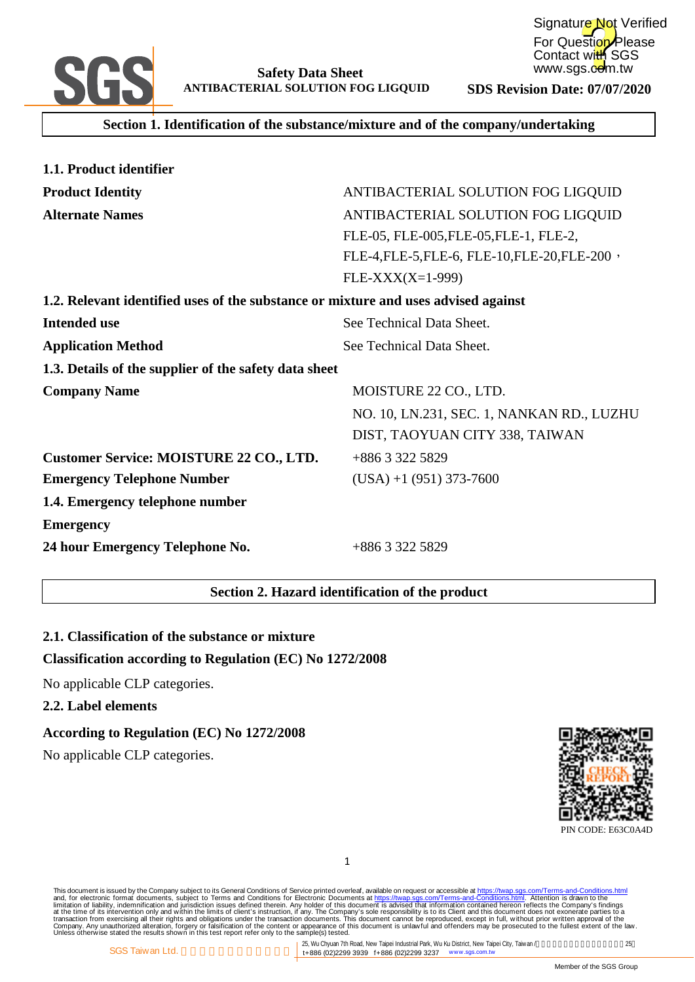

**Section 1. Identification of the substance/mixture and of the company/undertaking**

| 1.1. Product identifier                                                            |                                               |
|------------------------------------------------------------------------------------|-----------------------------------------------|
| <b>Product Identity</b>                                                            | ANTIBACTERIAL SOLUTION FOG LIGQUID            |
| <b>Alternate Names</b>                                                             | ANTIBACTERIAL SOLUTION FOG LIGQUID            |
|                                                                                    | FLE-05, FLE-005, FLE-05, FLE-1, FLE-2,        |
|                                                                                    | FLE-4, FLE-5, FLE-6, FLE-10, FLE-20, FLE-200, |
|                                                                                    | $FLE-XXX(X=1-999)$                            |
| 1.2. Relevant identified uses of the substance or mixture and uses advised against |                                               |
| <b>Intended use</b>                                                                | See Technical Data Sheet.                     |
| <b>Application Method</b>                                                          | See Technical Data Sheet.                     |
| 1.3. Details of the supplier of the safety data sheet                              |                                               |
| <b>Company Name</b>                                                                | MOISTURE 22 CO., LTD.                         |
|                                                                                    | NO. 10, LN.231, SEC. 1, NANKAN RD., LUZHU     |
|                                                                                    | DIST, TAOYUAN CITY 338, TAIWAN                |
| <b>Customer Service: MOISTURE 22 CO., LTD.</b>                                     | +886 3 322 5829                               |
| <b>Emergency Telephone Number</b>                                                  | $(USA) + 1 (951) 373-7600$                    |
| 1.4. Emergency telephone number                                                    |                                               |
| <b>Emergency</b>                                                                   |                                               |
| 24 hour Emergency Telephone No.                                                    | +886 3 322 5829                               |

# **Section 2. Hazard identification of the product**

# **2.1. Classification of the substance or mixture**

# **Classification according to Regulation (EC) No 1272/2008**

No applicable CLP categories.

#### **2.2. Label elements**

#### **According to Regulation (EC) No 1272/2008**

No applicable CLP categories.



PIN CODE: E63C0A4D

1

This document is issued by the Company subject to Terms and Conditions of Service printed overleaf, available on request on Terms-and-Conditions.html. Attention is drawn to the<br>and, for electronic format documents, subject

25, Wu Chyuan 7th Road, New Taipei Industrial Park, Wu Ku District, New Taipei City, Taiwan /  $25$ t+886 (02)2299 3939 f+886 (02)2299 3237 www.sgs.com.tw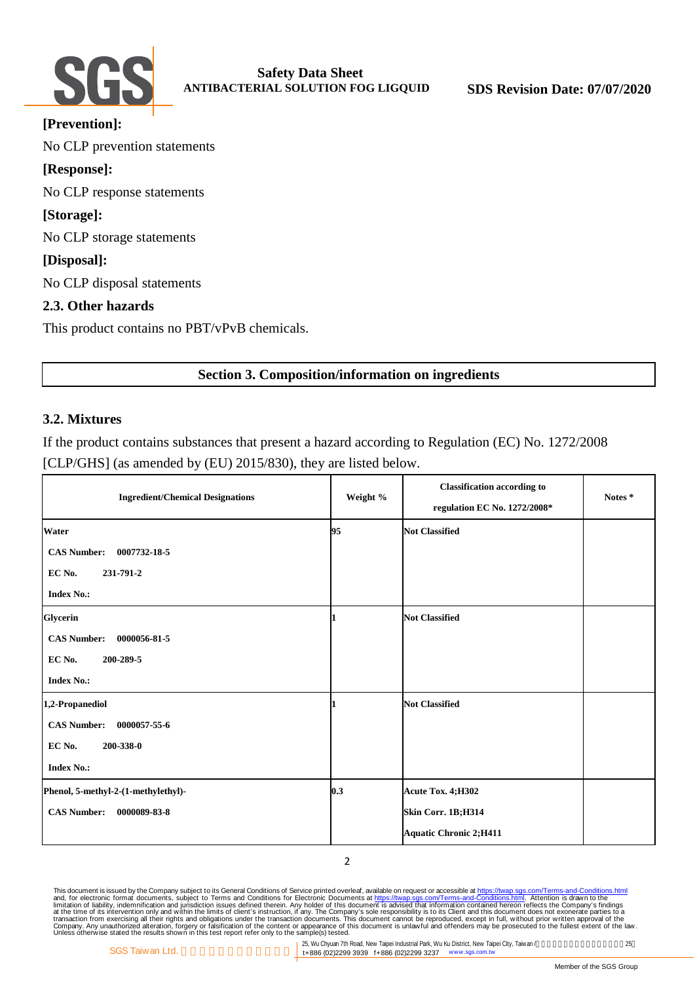

| [Prevention]:                                |
|----------------------------------------------|
| No CLP prevention statements                 |
| [Response]:                                  |
| No CLP response statements                   |
| [Storage]:                                   |
| No CLP storage statements                    |
| [Disposal]:                                  |
| No CLP disposal statements                   |
| 2.3. Other hazards                           |
| This product contains no PBT/vPvB chemicals. |
|                                              |

# **Section 3. Composition/information on ingredients**

# **3.2. Mixtures**

If the product contains substances that present a hazard according to Regulation (EC) No. 1272/2008 [CLP/GHS] (as amended by (EU) 2015/830), they are listed below.

| <b>Ingredient/Chemical Designations</b> | Weight % | <b>Classification according to</b><br>regulation EC No. 1272/2008* | Notes* |
|-----------------------------------------|----------|--------------------------------------------------------------------|--------|
| <b>Water</b>                            | 95       | <b>Not Classified</b>                                              |        |
| 0007732-18-5<br><b>CAS Number:</b>      |          |                                                                    |        |
| EC No.<br>231-791-2                     |          |                                                                    |        |
| <b>Index No.:</b>                       |          |                                                                    |        |
| Glycerin                                |          | <b>Not Classified</b>                                              |        |
| <b>CAS Number:</b><br>0000056-81-5      |          |                                                                    |        |
| 200-289-5<br>EC No.                     |          |                                                                    |        |
| <b>Index No.:</b>                       |          |                                                                    |        |
| 1,2-Propanediol                         |          | <b>Not Classified</b>                                              |        |
| <b>CAS Number:</b><br>0000057-55-6      |          |                                                                    |        |
| EC No.<br>200-338-0                     |          |                                                                    |        |
| <b>Index No.:</b>                       |          |                                                                    |        |
| Phenol, 5-methyl-2-(1-methylethyl)-     | 0.3      | Acute Tox. 4; H302                                                 |        |
| <b>CAS Number:</b><br>0000089-83-8      |          | Skin Corr. 1B;H314                                                 |        |
|                                         |          | <b>Aquatic Chronic 2; H411</b>                                     |        |

2

This document is issued by the Company subject to Terms and Conditions of Service printed overleaf, available on request on Terms-and-Conditions.html. Attention is drawn to the<br>and, for electronic format documents, subject

25, Wu Chyuan 7th Road, New Taipei Industrial Park, Wu Ku District, New Taipei City, Taiwan / The Taiwan 7th Road, New 25 t+886 (02)2299 3939 f+886 (02)2299 3237 www.sgs.com.tw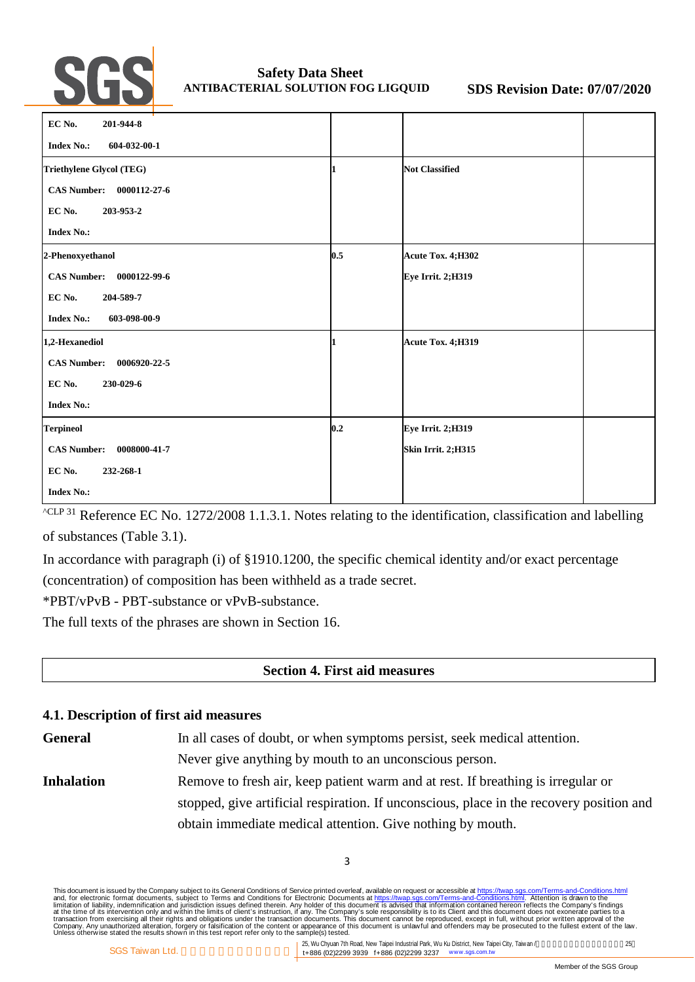

| EC No.<br>201-944-8                |     |                       |  |
|------------------------------------|-----|-----------------------|--|
| <b>Index No.:</b><br>604-032-00-1  |     |                       |  |
| Triethylene Glycol (TEG)           |     | <b>Not Classified</b> |  |
| <b>CAS Number:</b><br>0000112-27-6 |     |                       |  |
| EC No.<br>203-953-2                |     |                       |  |
| <b>Index No.:</b>                  |     |                       |  |
| 2-Phenoxyethanol                   | 0.5 | Acute Tox. 4;H302     |  |
| <b>CAS Number:</b><br>0000122-99-6 |     | Eye Irrit. 2;H319     |  |
| EC No.<br>204-589-7                |     |                       |  |
| <b>Index No.:</b><br>603-098-00-9  |     |                       |  |
| 1,2-Hexanediol                     | 1   | Acute Tox. 4;H319     |  |
| <b>CAS Number:</b><br>0006920-22-5 |     |                       |  |
| EC No.<br>230-029-6                |     |                       |  |
| <b>Index No.:</b>                  |     |                       |  |
| <b>Terpineol</b>                   | 0.2 | Eye Irrit. 2;H319     |  |
| <b>CAS Number:</b><br>0008000-41-7 |     | Skin Irrit. 2;H315    |  |
| EC No.<br>232-268-1                |     |                       |  |
| <b>Index No.:</b>                  |     |                       |  |

 $\sqrt{\text{CLP 31}}$  Reference EC No. 1272/2008 1.1.3.1. Notes relating to the identification, classification and labelling of substances (Table 3.1).

In accordance with paragraph (i) of §1910.1200, the specific chemical identity and/or exact percentage (concentration) of composition has been withheld as a trade secret.

\*PBT/vPvB - PBT-substance or vPvB-substance.

The full texts of the phrases are shown in Section 16.

# **Section 4. First aid measures**

# **4.1. Description of first aid measures**

General In all cases of doubt, or when symptoms persist, seek medical attention. Never give anything by mouth to an unconscious person. **Inhalation** Remove to fresh air, keep patient warm and at rest. If breathing is irregular or stopped, give artificial respiration. If unconscious, place in the recovery position and obtain immediate medical attention. Give nothing by mouth.

3

This document is issued by the Company subject to Terms and Conditions of Service printed overleaf, available on request on Terms-and-Conditions.html. Attention is drawn to the<br>and, for electronic format documents, subject

25, Wu Chyuan 7th Road, New Taipei Industrial Park, Wu Ku District, New Taipei City, Taiwan /  $25$ t+886 (02)2299 3939 f+886 (02)2299 3237 www.sgs.com.tw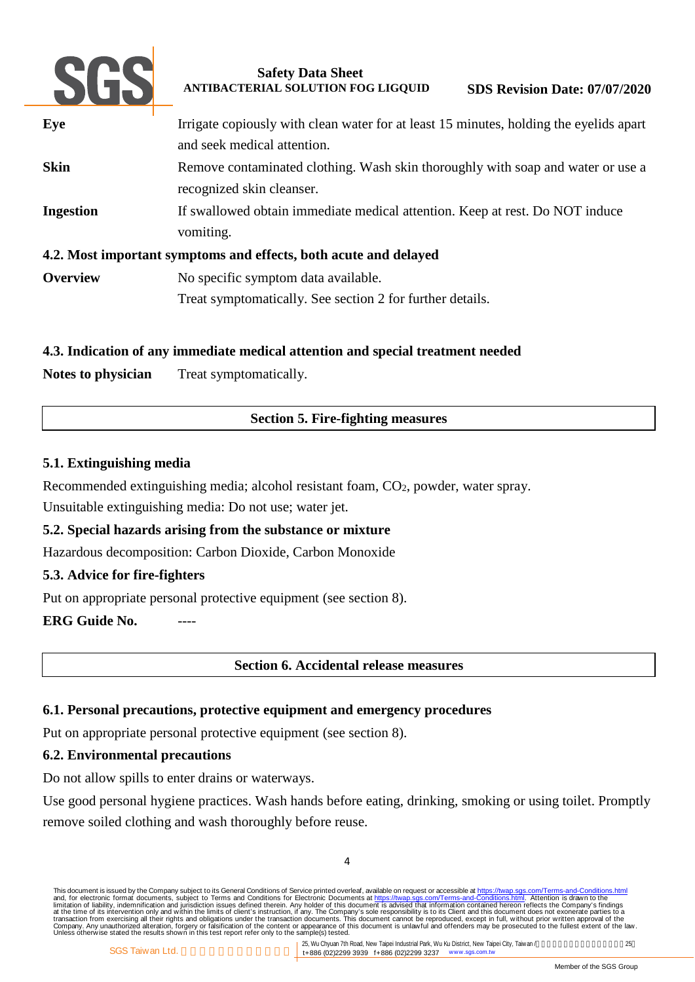

| Eye              | Irrigate copiously with clean water for at least 15 minutes, holding the eyelids apart<br>and seek medical attention. |
|------------------|-----------------------------------------------------------------------------------------------------------------------|
| <b>Skin</b>      | Remove contaminated clothing. Wash skin thoroughly with soap and water or use a                                       |
|                  | recognized skin cleanser.                                                                                             |
| <b>Ingestion</b> | If swallowed obtain immediate medical attention. Keep at rest. Do NOT induce                                          |
|                  | vomiting.                                                                                                             |
|                  | 4.2. Most important symptoms and effects, both acute and delayed                                                      |
| <b>Overview</b>  | No specific symptom data available.                                                                                   |
|                  | Treat symptomatically. See section 2 for further details.                                                             |

# **4.3. Indication of any immediate medical attention and special treatment needed**

Notes to physician Treat symptomatically.

# **Section 5. Fire-fighting measures**

# **5.1. Extinguishing media**

Recommended extinguishing media; alcohol resistant foam, CO<sub>2</sub>, powder, water spray. Unsuitable extinguishing media: Do not use; water jet.

# **5.2. Special hazards arising from the substance or mixture**

Hazardous decomposition: Carbon Dioxide, Carbon Monoxide

# **5.3. Advice for fire-fighters**

Put on appropriate personal protective equipment (see section 8).

**ERG Guide No.** 

# **Section 6. Accidental release measures**

# **6.1. Personal precautions, protective equipment and emergency procedures**

Put on appropriate personal protective equipment (see section 8).

# **6.2. Environmental precautions**

Do not allow spills to enter drains or waterways.

Use good personal hygiene practices. Wash hands before eating, drinking, smoking or using toilet. Promptly remove soiled clothing and wash thoroughly before reuse.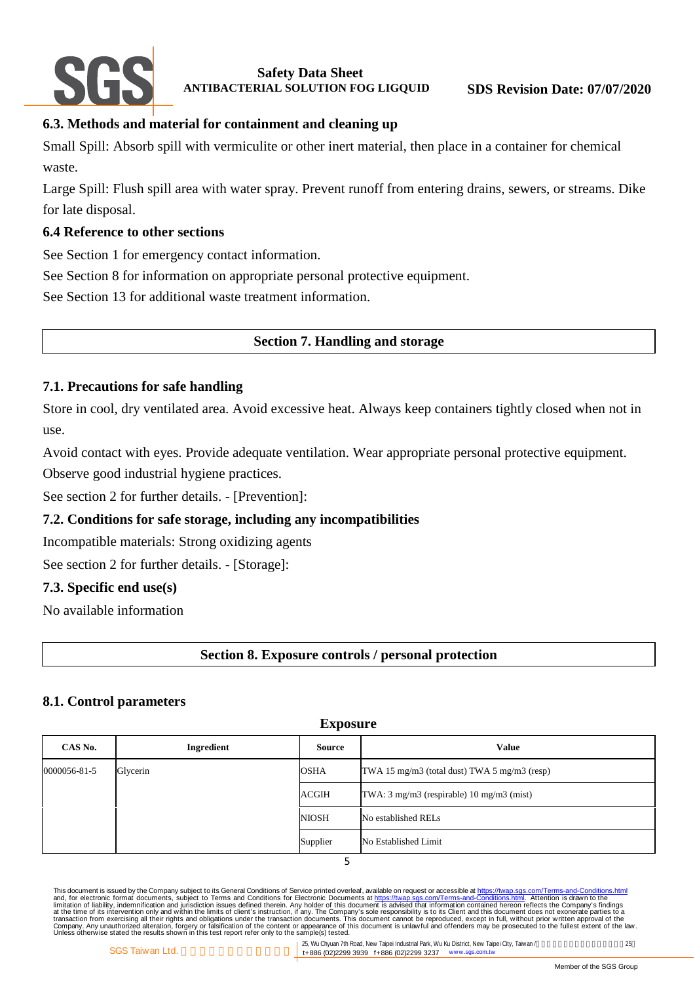

# **6.3. Methods and material for containment and cleaning up**

Small Spill: Absorb spill with vermiculite or other inert material, then place in a container for chemical waste.

Large Spill: Flush spill area with water spray. Prevent runoff from entering drains, sewers, or streams. Dike for late disposal.

# **6.4 Reference to other sections**

See Section 1 for emergency contact information.

See Section 8 for information on appropriate personal protective equipment.

See Section 13 for additional waste treatment information.

# **Section 7. Handling and storage**

# **7.1. Precautions for safe handling**

Store in cool, dry ventilated area. Avoid excessive heat. Always keep containers tightly closed when not in use.

Avoid contact with eyes. Provide adequate ventilation. Wear appropriate personal protective equipment.

Observe good industrial hygiene practices.

See section 2 for further details. - [Prevention]:

# **7.2. Conditions for safe storage, including any incompatibilities**

Incompatible materials: Strong oxidizing agents

See section 2 for further details. - [Storage]:

# **7.3. Specific end use(s)**

No available information

# **Section 8. Exposure controls / personal protection**

# **8.1. Control parameters**

| <b>Exposure</b> |            |              |                                              |  |
|-----------------|------------|--------------|----------------------------------------------|--|
| CAS No.         | Ingredient | Source       | <b>Value</b>                                 |  |
| 0000056-81-5    | Glycerin   | <b>OSHA</b>  | TWA 15 mg/m3 (total dust) TWA 5 mg/m3 (resp) |  |
|                 |            | <b>ACGIH</b> | TWA: 3 mg/m3 (respirable) 10 mg/m3 (mist)    |  |
|                 |            | <b>NIOSH</b> | No established RELs                          |  |
|                 |            | Supplier     | No Established Limit                         |  |

5

This document is issued by the Company subject to Terms and Conditions of Service printed overleaf, available on request on Terms-and-Conditions.html. Attention is drawn to the<br>and, for electronic format documents, subject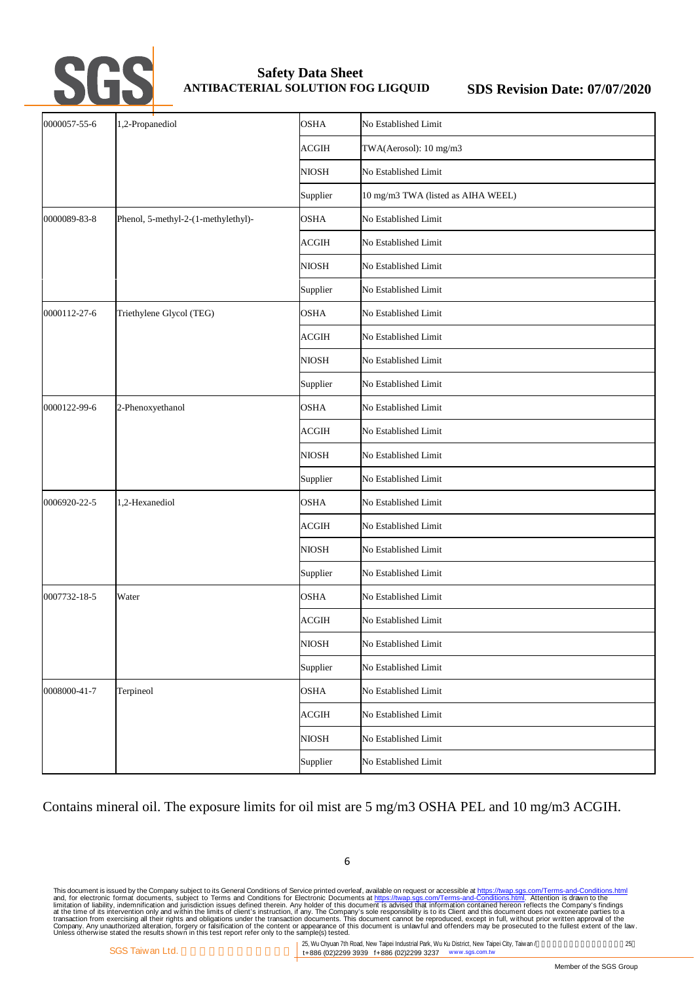

| 0000057-55-6 | 1,2-Propanediol                     | <b>OSHA</b>  | No Established Limit               |
|--------------|-------------------------------------|--------------|------------------------------------|
|              |                                     | <b>ACGIH</b> | TWA(Aerosol): 10 mg/m3             |
|              |                                     | <b>NIOSH</b> | No Established Limit               |
|              |                                     | Supplier     | 10 mg/m3 TWA (listed as AIHA WEEL) |
| 0000089-83-8 | Phenol, 5-methyl-2-(1-methylethyl)- | <b>OSHA</b>  | No Established Limit               |
|              |                                     | <b>ACGIH</b> | No Established Limit               |
|              |                                     | <b>NIOSH</b> | No Established Limit               |
|              |                                     | Supplier     | No Established Limit               |
| 0000112-27-6 | Triethylene Glycol (TEG)            | <b>OSHA</b>  | No Established Limit               |
|              |                                     | <b>ACGIH</b> | No Established Limit               |
|              |                                     | <b>NIOSH</b> | No Established Limit               |
|              |                                     | Supplier     | No Established Limit               |
| 0000122-99-6 | 2-Phenoxyethanol                    | <b>OSHA</b>  | No Established Limit               |
|              |                                     | <b>ACGIH</b> | No Established Limit               |
|              |                                     | <b>NIOSH</b> | No Established Limit               |
|              |                                     | Supplier     | No Established Limit               |
| 0006920-22-5 | 1,2-Hexanediol                      | <b>OSHA</b>  | No Established Limit               |
|              |                                     | <b>ACGIH</b> | No Established Limit               |
|              |                                     | <b>NIOSH</b> | No Established Limit               |
|              |                                     | Supplier     | No Established Limit               |
| 0007732-18-5 | Water                               | <b>OSHA</b>  | No Established Limit               |
|              |                                     | <b>ACGIH</b> | No Established Limit               |
|              |                                     | <b>NIOSH</b> | No Established Limit               |
|              |                                     | Supplier     | No Established Limit               |
| 0008000-41-7 | Terpineol                           | <b>OSHA</b>  | No Established Limit               |
|              |                                     | ACGIH        | No Established Limit               |
|              |                                     | <b>NIOSH</b> | No Established Limit               |
|              |                                     | Supplier     | No Established Limit               |

Contains mineral oil. The exposure limits for oil mist are 5 mg/m3 OSHA PEL and 10 mg/m3 ACGIH.

This document is issued by the Company subject to Terms and Conditions of Service printed overleaf, available on request on Terms-and-Conditions.html. Attention is drawn to the<br>and, for electronic format documents, subject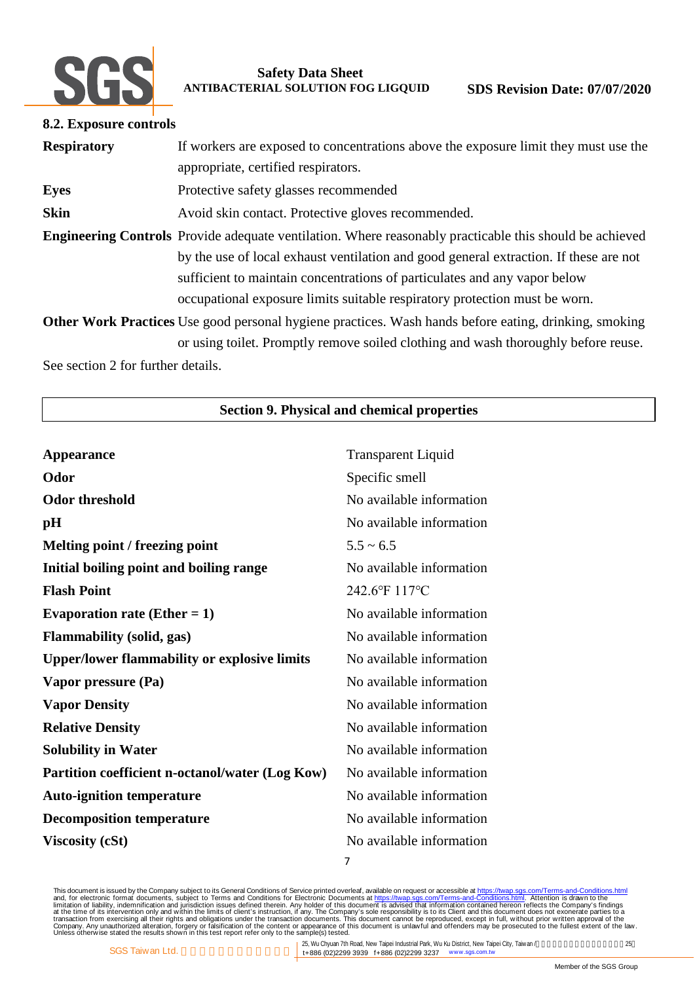

| 8.2. Exposure controls |                                                                                                                                                                                                                                                                                                                                                                    |
|------------------------|--------------------------------------------------------------------------------------------------------------------------------------------------------------------------------------------------------------------------------------------------------------------------------------------------------------------------------------------------------------------|
| <b>Respiratory</b>     | If workers are exposed to concentrations above the exposure limit they must use the<br>appropriate, certified respirators.                                                                                                                                                                                                                                         |
| <b>Eyes</b>            | Protective safety glasses recommended                                                                                                                                                                                                                                                                                                                              |
| <b>Skin</b>            | Avoid skin contact. Protective gloves recommended.                                                                                                                                                                                                                                                                                                                 |
|                        | <b>Engineering Controls</b> Provide adequate ventilation. Where reasonably practicable this should be achieved<br>by the use of local exhaust ventilation and good general extraction. If these are not<br>sufficient to maintain concentrations of particulates and any vapor below<br>occupational exposure limits suitable respiratory protection must be worn. |
|                        | <b>Other Work Practices</b> Use good personal hygiene practices. Wash hands before eating, drinking, smoking<br>or using toilet. Promptly remove soiled clothing and wash thoroughly before reuse.                                                                                                                                                                 |

See section 2 for further details.

# **Section 9. Physical and chemical properties**

| <b>Appearance</b>                                   | <b>Transparent Liquid</b> |
|-----------------------------------------------------|---------------------------|
| Odor                                                | Specific smell            |
| <b>Odor threshold</b>                               | No available information  |
| pH                                                  | No available information  |
| Melting point / freezing point                      | $5.5 \sim 6.5$            |
| Initial boiling point and boiling range             | No available information  |
| <b>Flash Point</b>                                  | 242.6°F 117°C             |
| Evaporation rate (Ether $= 1$ )                     | No available information  |
| <b>Flammability (solid, gas)</b>                    | No available information  |
| <b>Upper/lower flammability or explosive limits</b> | No available information  |
| Vapor pressure (Pa)                                 | No available information  |
| <b>Vapor Density</b>                                | No available information  |
| <b>Relative Density</b>                             | No available information  |
| <b>Solubility in Water</b>                          | No available information  |
| Partition coefficient n-octanol/water (Log Kow)     | No available information  |
| <b>Auto-ignition temperature</b>                    | No available information  |
| <b>Decomposition temperature</b>                    | No available information  |
| <b>Viscosity (cSt)</b>                              | No available information  |
|                                                     | 7                         |

This document is issued by the Company subject to Terms and Conditions of Service printed overleaf, available on request on Terms-and-Conditions.html. Attention is drawn to the<br>and, for electronic format documents, subject

25, Wu Chyuan 7th Road, New Taipei Industrial Park, Wu Ku District, New Taipei City, Taiwan / t+886 (02)2299 3939 f+886 (02)2299 3237 www.sgs.com.tw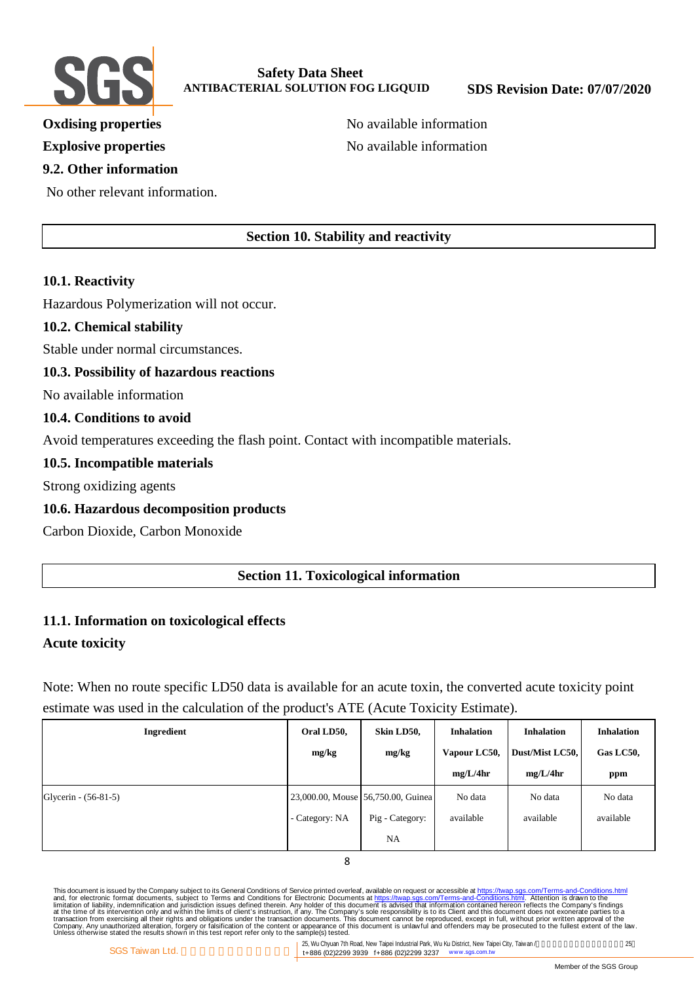

# **9.2. Other information**

No other relevant information.

**Oxdising properties** No available information **Explosive properties** No available information

# **Section 10. Stability and reactivity**

# **10.1. Reactivity**

Hazardous Polymerization will not occur.

# **10.2. Chemical stability**

Stable under normal circumstances.

#### **10.3. Possibility of hazardous reactions**

No available information

#### **10.4. Conditions to avoid**

Avoid temperatures exceeding the flash point. Contact with incompatible materials.

#### **10.5. Incompatible materials**

Strong oxidizing agents

# **10.6. Hazardous decomposition products**

Carbon Dioxide, Carbon Monoxide

# **Section 11. Toxicological information**

# **11.1. Information on toxicological effects**

# **Acute toxicity**

Note: When no route specific LD50 data is available for an acute toxin, the converted acute toxicity point estimate was used in the calculation of the product's ATE (Acute Toxicity Estimate).

| Ingredient           | Oral LD50,     | Skin LD50,                         | <b>Inhalation</b> | <b>Inhalation</b> | <b>Inhalation</b> |
|----------------------|----------------|------------------------------------|-------------------|-------------------|-------------------|
|                      | mg/kg          | mg/kg                              | Vapour LC50,      | Dust/Mist LC50,   | Gas LC50,         |
|                      |                |                                    | mg/L/4hr          | mg/L/4hr          | ppm               |
| Glycerin - (56-81-5) |                | 23,000.00, Mouse 56,750.00, Guinea | No data           | No data           | No data           |
|                      | - Category: NA | Pig - Category:                    | available         | available         | available         |
|                      |                | <b>NA</b>                          |                   |                   |                   |

8

This document is issued by the Company subject to Terms and Conditions of Service printed overleaf, available on request on Terms-and-Conditions.html. Attention is drawn to the<br>and, for electronic format documents, subject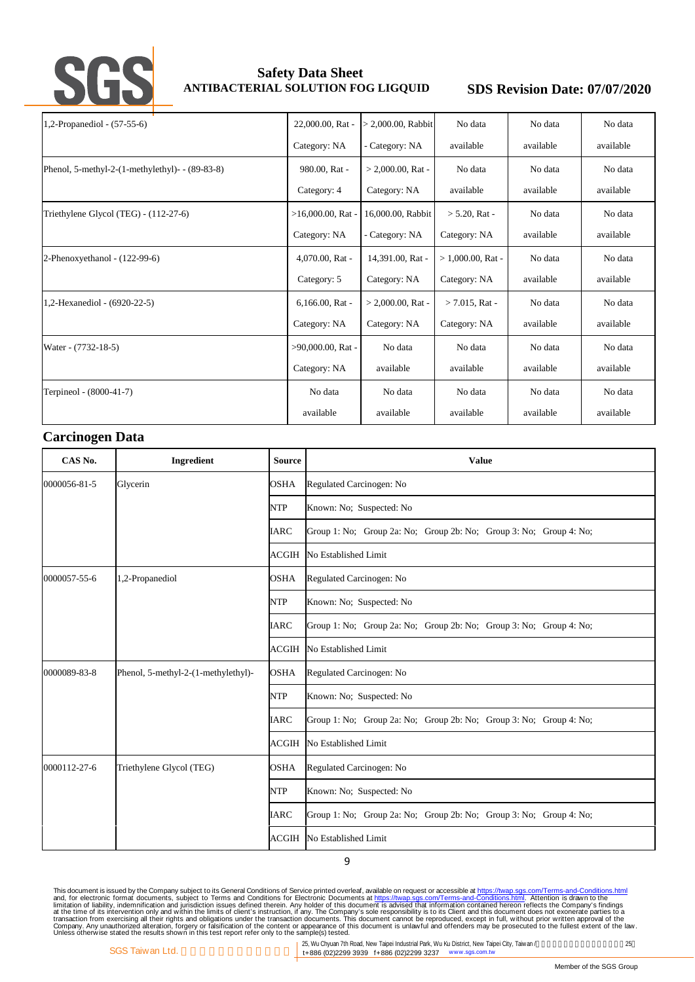

| 1,2-Propanediol - (57-55-6)                             |  | 22,000.00, Rat -     | $> 2,000.00$ , Rabbit | No data              | No data   | No data   |
|---------------------------------------------------------|--|----------------------|-----------------------|----------------------|-----------|-----------|
|                                                         |  | Category: NA         | - Category: NA        | available            | available | available |
| Phenol, 5-methyl-2- $(1$ -methylethyl $)$ - $(89-83-8)$ |  | 980.00, Rat -        | $> 2,000.00$ . Rat -  | No data              | No data   | No data   |
|                                                         |  | Category: 4          | Category: NA          | available            | available | available |
| Triethylene Glycol (TEG) - (112-27-6)                   |  | $>16,000.00$ , Rat - | 16,000.00, Rabbit     | $> 5.20$ , Rat -     | No data   | No data   |
|                                                         |  | Category: NA         | Category: NA          | Category: NA         | available | available |
| 2-Phenoxyethanol - (122-99-6)                           |  | 4,070.00, Rat -      | 14,391.00, Rat -      | $> 1,000.00$ , Rat - | No data   | No data   |
|                                                         |  | Category: 5          | Category: NA          | Category: NA         | available | available |
| 1,2-Hexanediol - (6920-22-5)                            |  | 6,166.00, Rat -      | $> 2,000.00$ , Rat -  | $> 7.015$ , Rat -    | No data   | No data   |
|                                                         |  | Category: NA         | Category: NA          | Category: NA         | available | available |
| Water - (7732-18-5)                                     |  | $>90,000.00$ , Rat - | No data               | No data              | No data   | No data   |
|                                                         |  | Category: NA         | available             | available            | available | available |
| Terpineol - (8000-41-7)                                 |  | No data              | No data               | No data              | No data   | No data   |
|                                                         |  | available            | available             | available            | available | available |

#### **Carcinogen Data**

| CAS No.      | Ingredient                          | <b>Source</b> | <b>Value</b>                                                       |  |  |
|--------------|-------------------------------------|---------------|--------------------------------------------------------------------|--|--|
| 0000056-81-5 | Glycerin                            | <b>OSHA</b>   | Regulated Carcinogen: No                                           |  |  |
|              |                                     | <b>NTP</b>    | Known: No; Suspected: No                                           |  |  |
|              |                                     | <b>IARC</b>   | Group 1: No; Group 2a: No; Group 2b: No; Group 3: No; Group 4: No; |  |  |
|              |                                     | <b>ACGIH</b>  | No Established Limit                                               |  |  |
| 0000057-55-6 | 1,2-Propanediol                     | <b>OSHA</b>   | Regulated Carcinogen: No                                           |  |  |
|              |                                     | <b>NTP</b>    | Known: No; Suspected: No                                           |  |  |
|              |                                     | <b>IARC</b>   | Group 1: No; Group 2a: No; Group 2b: No; Group 3: No; Group 4: No; |  |  |
|              |                                     | ACGIH         | No Established Limit                                               |  |  |
| 0000089-83-8 | Phenol, 5-methyl-2-(1-methylethyl)- | <b>OSHA</b>   | Regulated Carcinogen: No                                           |  |  |
|              |                                     | <b>NTP</b>    | Known: No; Suspected: No                                           |  |  |
|              |                                     | <b>IARC</b>   | Group 1: No; Group 2a: No; Group 2b: No; Group 3: No; Group 4: No; |  |  |
|              |                                     | <b>ACGIH</b>  | No Established Limit                                               |  |  |
| 0000112-27-6 | Triethylene Glycol (TEG)            | <b>OSHA</b>   | Regulated Carcinogen: No                                           |  |  |
|              |                                     | <b>NTP</b>    | Known: No; Suspected: No                                           |  |  |
|              |                                     | <b>IARC</b>   | Group 1: No; Group 2a: No; Group 2b: No; Group 3: No; Group 4: No; |  |  |
|              |                                     | ACGIH         | No Established Limit                                               |  |  |

9

This document is issued by the Company subject to Terms and Conditions of Service printed overleaf, available on request on Terms-and-Conditions.html. Attention is drawn to the<br>and, for electronic format documents, subject

25, Wu Chyuan 7th Road, New Taipei Industrial Park, Wu Ku District, New Taipei City, Taiwan / t+886 (02)2299 3939 f+886 (02)2299 3237 www.sgs.com.tw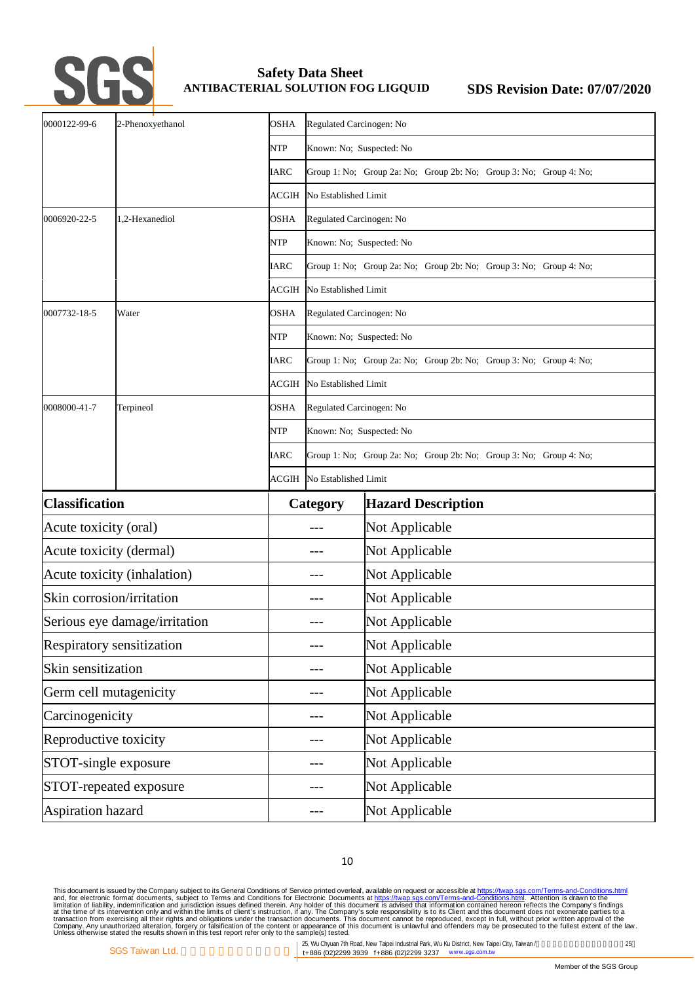

| 0000122-99-6                  | 2-Phenoxyethanol | OSHA        | Regulated Carcinogen: No                                                                                               |                                                                    |  |
|-------------------------------|------------------|-------------|------------------------------------------------------------------------------------------------------------------------|--------------------------------------------------------------------|--|
|                               |                  | <b>NTP</b>  | Known: No; Suspected: No                                                                                               |                                                                    |  |
|                               |                  | <b>IARC</b> |                                                                                                                        | Group 1: No; Group 2a: No; Group 2b: No; Group 3: No; Group 4: No; |  |
|                               |                  | ACGIH       | No Established Limit                                                                                                   |                                                                    |  |
| 0006920-22-5                  | 1,2-Hexanediol   | <b>OSHA</b> | Regulated Carcinogen: No                                                                                               |                                                                    |  |
|                               |                  | <b>NTP</b>  | Known: No; Suspected: No                                                                                               |                                                                    |  |
|                               |                  | <b>IARC</b> | Group 1: No; Group 2a: No; Group 2b: No; Group 3: No; Group 4: No;                                                     |                                                                    |  |
|                               |                  | ACGIH       | No Established Limit                                                                                                   |                                                                    |  |
| 0007732-18-5                  | Water            | OSHA        | Regulated Carcinogen: No                                                                                               |                                                                    |  |
|                               |                  | <b>NTP</b>  | Known: No; Suspected: No                                                                                               |                                                                    |  |
|                               |                  | <b>IARC</b> | Group 1: No; Group 2a: No; Group 2b: No; Group 3: No; Group 4: No;                                                     |                                                                    |  |
|                               |                  | ACGIH       | No Established Limit                                                                                                   |                                                                    |  |
| 0008000-41-7                  | Terpineol        | <b>OSHA</b> | Regulated Carcinogen: No                                                                                               |                                                                    |  |
|                               |                  | <b>NTP</b>  | Known: No; Suspected: No<br>Group 1: No; Group 2a: No; Group 2b: No; Group 3: No; Group 4: No;<br>No Established Limit |                                                                    |  |
|                               |                  | <b>IARC</b> |                                                                                                                        |                                                                    |  |
|                               |                  | ACGIH       |                                                                                                                        |                                                                    |  |
| <b>Classification</b>         |                  |             | Category                                                                                                               | <b>Hazard Description</b>                                          |  |
| Acute toxicity (oral)         |                  |             |                                                                                                                        | Not Applicable                                                     |  |
| Acute toxicity (dermal)       |                  |             |                                                                                                                        | Not Applicable                                                     |  |
| Acute toxicity (inhalation)   |                  |             | $---$                                                                                                                  | Not Applicable                                                     |  |
| Skin corrosion/irritation     |                  |             |                                                                                                                        | Not Applicable                                                     |  |
| Serious eye damage/irritation |                  |             |                                                                                                                        | Not Applicable                                                     |  |
| Respiratory sensitization     |                  |             |                                                                                                                        | Not Applicable                                                     |  |
| Skin sensitization            |                  |             | ---                                                                                                                    | Not Applicable                                                     |  |
| Germ cell mutagenicity        |                  |             | $---$                                                                                                                  | Not Applicable                                                     |  |
| Carcinogenicity               |                  |             |                                                                                                                        | Not Applicable                                                     |  |
| Reproductive toxicity         |                  |             | ---                                                                                                                    | Not Applicable                                                     |  |
| STOT-single exposure          |                  |             | $---$                                                                                                                  | Not Applicable                                                     |  |
| STOT-repeated exposure        |                  |             | ---                                                                                                                    | Not Applicable                                                     |  |
| Aspiration hazard             |                  |             |                                                                                                                        | Not Applicable                                                     |  |

10

25, Wu Chyuan 7th Road, New Taipei Industrial Park, Wu Ku District, New Taipei City, Taiwan / t+886 (02)2299 3939 f+886 (02)2299 3237 www.sgs.com.tw

This document is issued by the Company subject to Terms and Conditions of Service printed overleaf, available on request on Terms-and-Conditions.html. Attention is drawn to the<br>and, for electronic format documents, subject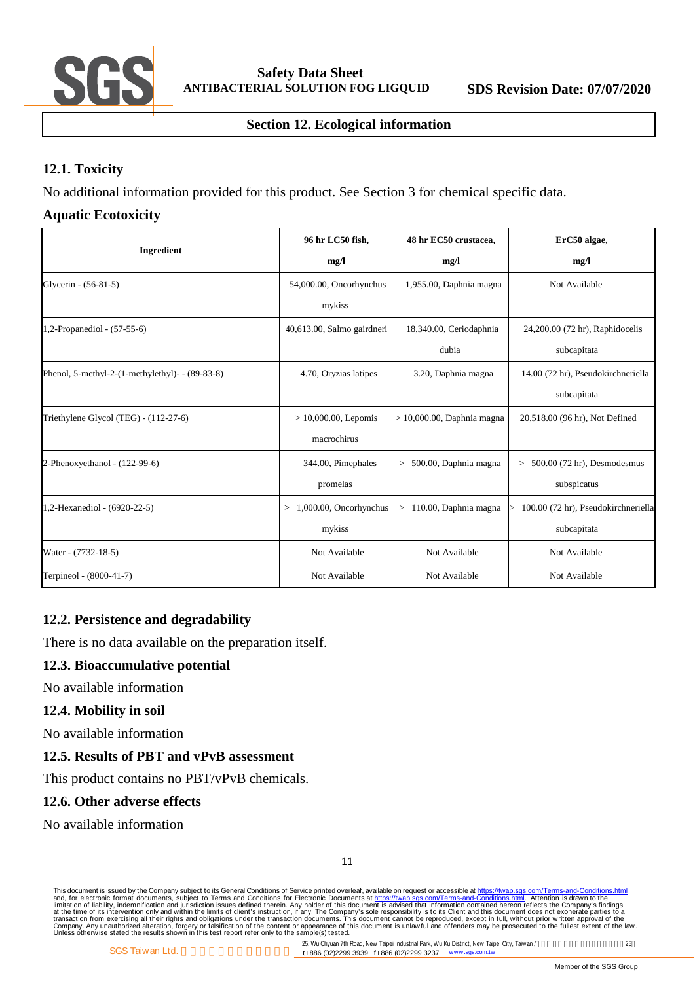

# **Section 12. Ecological information**

# **12.1. Toxicity**

No additional information provided for this product. See Section 3 for chemical specific data.

# **Aquatic Ecotoxicity**

| Ingredient                                            | 96 hr LC50 fish,            | 48 hr EC50 crustacea,         | ErC50 algae,                                    |  |
|-------------------------------------------------------|-----------------------------|-------------------------------|-------------------------------------------------|--|
|                                                       | mg/l                        | mg/l                          | mg/l                                            |  |
| Glycerin - (56-81-5)                                  | 54,000.00, Oncorhynchus     | 1,955.00, Daphnia magna       | Not Available                                   |  |
|                                                       | mykiss                      |                               |                                                 |  |
| 1,2-Propanediol - (57-55-6)                           | 40,613.00, Salmo gairdneri  | 18,340.00, Ceriodaphnia       | 24,200.00 (72 hr), Raphidocelis                 |  |
|                                                       |                             | dubia                         | subcapitata                                     |  |
| Phenol, 5-methyl-2- $(1$ -methylethyl)- - $(89-83-8)$ | 4.70, Oryzias latipes       | 3.20, Daphnia magna           | 14.00 (72 hr), Pseudokirchneriella              |  |
|                                                       |                             |                               | subcapitata                                     |  |
| Triethylene Glycol (TEG) - (112-27-6)                 | $> 10,000.00$ , Lepomis     | $> 10,000.00$ , Daphnia magna | 20,518.00 (96 hr), Not Defined                  |  |
|                                                       | macrochirus                 |                               |                                                 |  |
| 2-Phenoxyethanol - (122-99-6)                         | 344.00, Pimephales          | $> 500.00$ , Daphnia magna    | $> 500.00$ (72 hr), Desmodesmus                 |  |
|                                                       | promelas                    |                               | subspicatus                                     |  |
| 1,2-Hexanediol - (6920-22-5)                          | 1,000.00, Oncorhynchus<br>> | $>110.00$ , Daphnia magna     | 100.00 (72 hr), Pseudokirchneriella<br>$\rm{>}$ |  |
|                                                       | mykiss                      |                               | subcapitata                                     |  |
| Water - (7732-18-5)                                   | Not Available               | Not Available                 | Not Available                                   |  |
| Terpineol - (8000-41-7)                               | Not Available               | Not Available                 | Not Available                                   |  |

# **12.2. Persistence and degradability**

There is no data available on the preparation itself.

# **12.3. Bioaccumulative potential**

No available information

# **12.4. Mobility in soil**

No available information

# **12.5. Results of PBT and vPvB assessment**

This product contains no PBT/vPvB chemicals.

#### **12.6. Other adverse effects**

No available information

This document is issued by the Company subject to Terms and Conditions of Service printed overleaf, available on request on Terms-and-Conditions.html. Attention is drawn to the<br>and, for electronic format documents, subject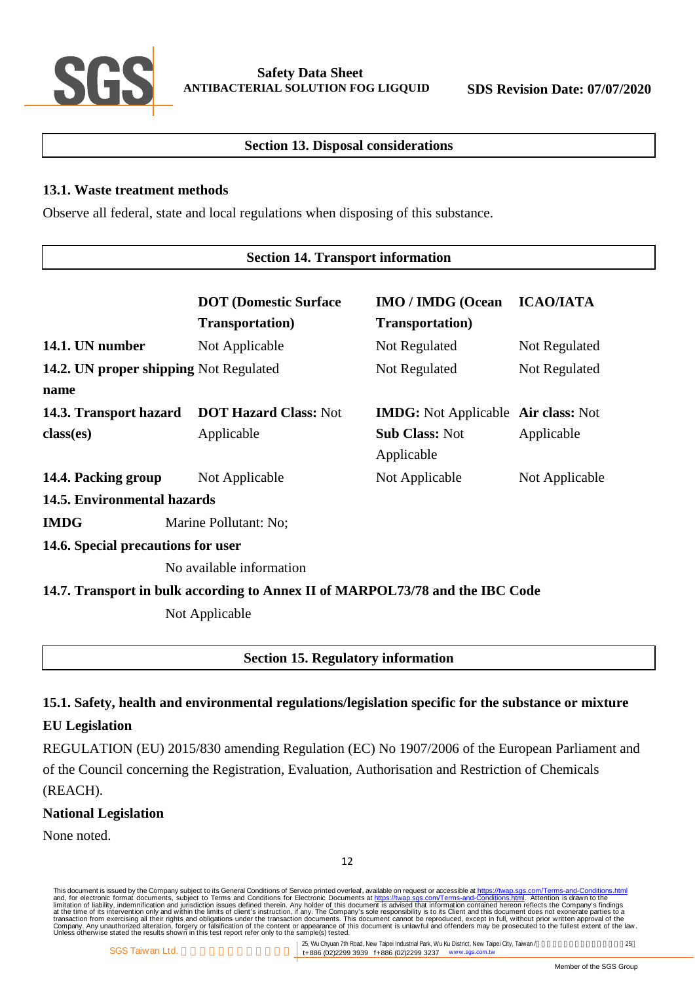

# **Section 13. Disposal considerations**

#### **13.1. Waste treatment methods**

Observe all federal, state and local regulations when disposing of this substance.

#### **Section 14. Transport information**

|                                        | <b>DOT</b> (Domestic Surface<br><b>Transportation</b> )                       | <b>IMO / IMDG (Ocean</b><br><b>Transportation</b> ) | <b>ICAO/IATA</b> |  |  |  |
|----------------------------------------|-------------------------------------------------------------------------------|-----------------------------------------------------|------------------|--|--|--|
| 14.1. UN number                        | Not Applicable                                                                | Not Regulated                                       | Not Regulated    |  |  |  |
| 14.2. UN proper shipping Not Regulated |                                                                               | Not Regulated                                       | Not Regulated    |  |  |  |
| name                                   |                                                                               |                                                     |                  |  |  |  |
| 14.3. Transport hazard                 | <b>DOT Hazard Class: Not</b>                                                  | <b>IMDG:</b> Not Applicable Air class: Not          |                  |  |  |  |
| class(es)                              | Applicable                                                                    | <b>Sub Class: Not</b><br>Applicable                 | Applicable       |  |  |  |
| 14.4. Packing group                    | Not Applicable                                                                | Not Applicable                                      | Not Applicable   |  |  |  |
| 14.5. Environmental hazards            |                                                                               |                                                     |                  |  |  |  |
| <b>IMDG</b>                            | Marine Pollutant: No;                                                         |                                                     |                  |  |  |  |
| 14.6. Special precautions for user     |                                                                               |                                                     |                  |  |  |  |
|                                        | No available information                                                      |                                                     |                  |  |  |  |
|                                        | 14.7. Transport in bulk according to Annex II of MARPOL73/78 and the IBC Code |                                                     |                  |  |  |  |
|                                        | Not Applicable                                                                |                                                     |                  |  |  |  |
|                                        | <b>Section 15. Regulatory information</b>                                     |                                                     |                  |  |  |  |

# **15.1. Safety, health and environmental regulations/legislation specific for the substance or mixture**

# **EU Legislation**

REGULATION (EU) 2015/830 amending Regulation (EC) No 1907/2006 of the European Parliament and of the Council concerning the Registration, Evaluation, Authorisation and Restriction of Chemicals (REACH).

# **National Legislation**

None noted.

This document is issued by the Company subject to Terms and Conditions of Service printed overleaf, available on request on Terms-and-Conditions.html. Attention is drawn to the<br>and, for electronic format documents, subject